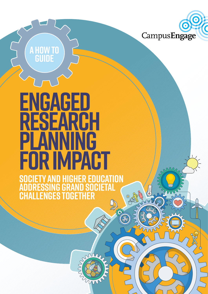

m

# **ENGAGED RESEARCH PLANNING FOR IMPACT**

**a how to**

**guide**

**Society and Higher Education Addressing Grand Societal Challenges Together**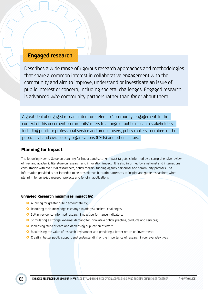# **Engaged research**

Describes a wide range of rigorous research approaches and methodologies that share a common interest in collaborative engagement with the community and aim to improve, understand or investigate an issue of public interest or concern, including societal challenges. Engaged research is advanced *with* community partners rather than *for* or about them.

A great deal of engaged research literature refers to 'community' engagement. In the context of this document, 'community' refers to a range of public research stakeholders, including public or professional service and product users, policy makers, members of the public, civil and civic society organisations (CSOs) and others actors.

# Planning for Impact

The following How to Guide on planning for impact and setting impact targets is informed by a comprehensive review of grey and academic literature on research and innovation impact. It is also informed by a national and international consultation with over 350 researchers, policy makers, funding agency personnel and community partners. The information provided is not intended to be prescriptive, but rather attempts to inspire and guide researchers when planning for engaged research projects and funding applications.

#### Engaged Research maximises impact by:

- Allowing for greater public accountability;
- **O** Requiring tacit knowledge exchange to address societal challenges;
- **O** Setting evidence-informed research impact performance indicators;
- **O** Stimulating a stronger external demand for innovative policy, practice, products and services;
- **O** Increasing reuse of data and decreasing duplication of effort;
- **O** Maximising the value of research investment and providing a better return on investment:
- **O** Creating better public support and understanding of the importance of research in our everyday lives.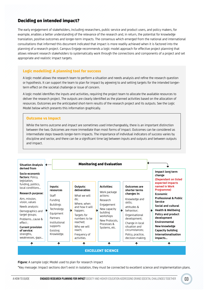# Deciding on intended impact?

The early engagement of stakeholders, including researchers, public service and product users, and policy makers, for example, enables a better understanding of the relevance of the research and, in return, the potential for knowledge translation, positive outcomes and longer-term impacts. The consensus which emerged from the national and international consultations that informed this document indicated that impact is more readily achieved when it is factored into the planning of a research project. Campus Engage recommends a logic model approach for effective project planning that allows relevant research stakeholders to systematically work through the connections and components of a project and set appropriate and realistic impact targets.

#### Logic modelling: A planning tool for success

A logic model allows the research team to perform a situation and needs analysis and refine the research question or hypothesis. It can support the team to plan for impact by agreeing to and setting targets for the intended longerterm effect on the societal challenge or issue of concern.

A logic model identifies the inputs and activities, requiring the project team to allocate the available resources to deliver the research project. The outputs are clearly identified as the planned activities based on the allocation of resources. Outcomes are the anticipated short-term results of the research project and its outputs. See the Logic Model below which presents this information graphically.

#### Outcome vs Impact

While the terms *outcome* and *impact* are sometimes used interchangeably, there is an important distinction between the two. Outcomes are more immediate than most forms of impact. Outcomes can be considered as intermediate steps towards longer-term impacts. The importance of individual indicators of success varies by discipline and sector, and there can be a significant time lag between inputs and outputs and between outputs and impact.



**Figure:** A sample Logic Model used to plan for research impact

\*Key message: Impact sections don't exist in isolation, they must be connected to excellent science and implementation plans.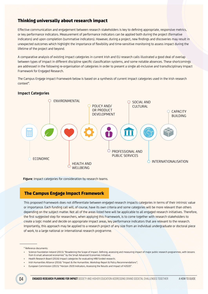# Thinking universally about research impact

Effective communication and engagement between research stakeholders is key to defining appropriate, responsive metrics, or key performance indicators. Measurement of performance indicators can be applied both during the project (formative indicators) and upon completion (summative indicators). However, during a project, new findings and discoveries may result in unexpected outcomes which highlight the importance of flexibility and time-sensitive monitoring to assess impact during the lifetime of the project and beyond.

A comparative analysis of existing impact categories in current Irish and EU research calls illustrated a good deal of overlap between types of impact in different discipline specific classification systems, and some notable absences. These shortcomings are addressed in the following re-organisation of categories in order to present a single all-inclusive and transdisciplinary Impact Framework for Engaged Research.

The Campus Engage Impact Framework below is based on a synthesis of current impact categories used in the Irish research context\*.

#### **Impact Categories**



**Figure:** Impact categories for consideration by research teams.

#### The Campus Engage Impact Framework

This proposed Framework does not differentiate between engaged research impacts categories in terms of their intrinsic value or importance. Each funding call will, of course, have its own criteria and some categories will be more relevant than others depending on the subject matter. Not all of the areas listed here will be applicable to all engaged research initiatives. Therefore, the first suggested step for researchers, when applying this Framework, is to come together with research stakeholders to create a logic model and decide on appropriate impact areas, key performance indicators that are relevant to the research. Importantly, this approach may be applied to a research project of any size from an individual undergraduate or doctoral piece of work, to a large national or international research programme.

<sup>\*</sup> Reference documents:

<sup>•</sup> Science Foundation Ireland (2015) "Broadening the Scope of Impact. Defining, assessing and measuring impact of major public research programmes, with lessons from 6 small advanced economies" by the Small Advanced Economies Initiative;

<sup>•</sup> Health Research Board (2016) Impact categories for evaluating HRB funded research;

<sup>•</sup> Irish Humanities Alliance (2016) "Impact & the Humanities. Workshop Report & Policy Recommendations";

<sup>•</sup> European Commission (2015) "Horizon 2020 Indicators, Assessing the Results and Impact of H2020".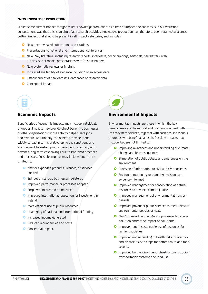#### **\*NEW KNOWLEDGE PRODUCTION**

Whilst some current impact categories list 'knowledge production' as a type of impact, the consensus in our workshop consultations was that this is an aim of all research activities. Knowledge production has, therefore, been retained as a crosscutting impact that should be present in all impact categories, and includes:

- **•** New peer reviewed publications and citations
- **O** Presentations to national and international conferences
- <sup>O</sup> New 'grey literature' including research reports, interviews, policy briefings, editorials, newsletters, web articles, social media, presentations with/to stakeholders
- **O** New systematic reviews or findings
- **O** Increased availability of evidence including open access data
- **O** Establishment of new datasets, databases or research data
- **O** Conceptual impact.

#### Economic Impacts

Beneficiaries of economic impacts may include individuals or groups. Impacts may provide direct benefit to businesses or other organisations whose activity helps create jobs and revenue. Additionally, the benefits may be more widely spread in terms of developing the conditions and environment to sustain productive economic activity or to advance long-term cost savings due to improved practices and processes. Possible impacts may include, but are not limited to:

- <sup>O</sup> New or expanded products, licenses, or services created
- **•** Spinout or start-up businesses registered
- **O** Improved performance or processes adopted
- **O** Employment created or increased
- **O** Improved international reputation for investment in Ireland
- **•** More efficient use of public resources
- **•** Leveraging of national and international funding
- **O** Increased income generated
- **•** Reduced redundancies and costs
- **Conceptual impact.**



## Environmental Impacts

Environmental impacts are those in which the key beneficiaries are the natural and built environment with its ecosystem services, together with societies, individuals or groups who benefit as a result. Possible impacts may include, but are not limited to:

- **O** Improving awareness and understanding of climate change and its consequences
- **O** Stimulation of public debate and awareness on the environment
- **O** Provision of information to civil and civic societies
- **O** Environmental policy or planning decisions are evidence-informed
- **O** Improved management or conservation of natural resources to advance climate justice
- **O** Improved management of environmental risks or hazards
- **O** Improved private or public services to meet relevant environmental policies or goals
- **O** New/improved technologies or processes to reduce pollution and/or the impact of pollutants
- **O** Improvement in sustainable use of resources for resilient societies
- **O** Improved understanding of health risks to livestock and disease risks to crops for better health and food security
- **O** Improved built environment infrastructure including transportation systems and land use.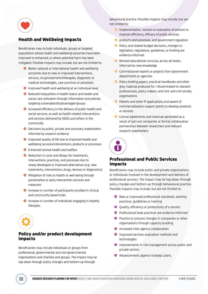

# Health and Wellbeing Impacts

Beneficiaries may include individuals, groups or targeted populations whose health and wellbeing outcomes have been improved or enhanced, or where potential harm has been mitigated. Possible impacts may include, but are not limited to:

- **O** Better national or international health and wellbeing outcomes due to new or improved interventions, services, drug/treatments/therapies, diagnostic or medical technologies, care practices or processes
- **O** Improved health and wellbeing at an individual level
- **O** Reduced inequalities in health status and health and social care utilisation through information and policies targeting vulnerable/disadvantaged groups
- **O** Increased efficiency in the delivery of public health and social services, as well as health-related interventions and services delivered by NGOs and others in the community
- **O** Decisions by public, private and voluntary stakeholders informed by research evidence
- **O** Improved quality of life due to improved health and wellbeing services/interventions, products or processes
- **O** Enhanced animal health and welfare
- **O** Reduction in costs and delays for treatments, interventions, practices, and processes due to newly developed or improved alternatives (e.g. new treatments, interventions, drugs, devices or diagnostics)
- **O** Mitigation of risks to health or well-being through preventative or early intervention services and measures
- **O** Increase in number of participants enrolled in clinical and community-based trials
- **O** Increase in number of individuals engaging in healthy lifestyles.



#### Policy and/or product development impacts

Beneficiaries may include individuals or groups from professional, governmental and non-governmental organisations and charities and groups. The impact may be top-down through policy changes and bottom-up through

behavioural practice. Possible impacts may include, but are not limited to:

- **O** Implementation, revision or evaluation of policies to improve efficiency, efficacy of public services,
- **O** products and processes, and government regulation
- **O** Policy and related budget decisions, changes to legislation, regulations, guidelines, or funding are evidence-informed
- **•** Revised educational curricula, across all levels, informed by new knowledge
- **•** Commissioned reports or projects from government departments or agencies
- **O** Policy briefing papers, practical handbooks and other grey material produced for / disseminated to relevant professionals, policy makers, and civic and civil society organisations
- **O** Patents and other IP applications and award of commercialization support grants to develop products or services
- **O** License agreements and revenues generated as a result of spin-out companies or formal collaborative partnerships between researchers and relevant research stakeholders.



## Professional and Public Services Impacts

Beneficiaries may include public and private organisations or individuals involved in the development and delivery of professional services. The impact may be top-down through policy changes and bottom-up through behavioural practice. Possible impacts may include, but are not limited to:

- **O** New or improved professional standards, working practices, guidelines or training
- **O** Quality, efficiency or productivity of a service
- **O** Professional body practices are evidence-informed
- **O** Practice or process changes in companies or other organisations through capacity building
- **O** Increased inter-agency collaboration
- **O** Improved services evaluation methods and technologies
- **O** Improvements in risk management across public and private sectors
- **O** Advancements against strategic plans.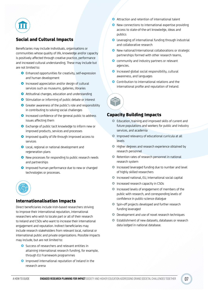

# Social and Cultural Impacts

Beneficiaries may include individuals, organisations or communities whose quality of life, knowledge and/or capacity is positively affected through creative practice, performance and increased cultural understanding. These may include but are not limited to:

- **O** Enhanced opportunities for creativity, self-expression and human development
- **O** Increased appreciation and/or design of cultural services such as museums, galleries, libraries
- **O** Attitudinal changes, education and understanding
- **O** Stimulation or informing of public debate or interest
- **•** Greater awareness of the public's role and responsibility in contributing to solving social challenges
- **O** Increased confidence of the general public to address issues affecting them
- **O** Exchange of public tacit knowledge to inform new or improved products, services and processes
- **O** Improved quality of life through improved access to services
- **O** Local, regional or national development and regeneration plans
- **•** New processes for responding to public research needs and partnerships
- **O** Improved human performance due to new or changed technologies or processes.



## Internationalisation Impacts

Direct beneficiaries include Irish-based researchers striving to improve their international reputation, international researchers who wish to locate part or all of their research to Ireland and CSOs who want to increase their international engagement and reputation. Indirect beneficiaries may include research stakeholders from relevant local, national or international public and private organizations. Possible impacts may include, but are not limited to:

- **O** Success of researchers and relevant entities in attaining international research funding, for example, through EU Framework programmes
- **O** Improved international reputation of Ireland in the research arena
- **O** Attraction and retention of international talent
- **O** New connections to international expertise providing access to state-of-the-art knowledge, ideas and publics
- **O** Leveraging of international funding through industrial and collaborative research
- **O** New national/international collaborations or strategic partnerships formed with other research teams,
- **O** community and industry partners or relevant agencies.
- **O** Increased global social responsibility, cultural awareness, and languages
- **O** Contribution to international relations and the international profile and reputation of Ireland.



#### Capacity Building Impacts

- £ Education, training and improved skills of current and future populations and workers for public and industry services, and academia
- **•** Improved relevancy of educational curricula at all levels
- $\bullet$  Higher degrees and research experience obtained by research personnel
- $\bullet$  Retention rates of research personnel in national research system
- $\bullet$  Increased leveraged funding due to number and level of highly skilled researchers
- $\bullet$  Increased national, EU, international social capital
- **Increased research capacity in CSOs**
- **O** Increased levels of engagement of members of the public with research, and corresponding levels of confidence in public-science dialogue
- **•** Spin-off projects developed and further research funding leveraged
- **•** Development and use of novel research techniques
- **O** Establishment of new datasets, databases or research data lodged in national database.